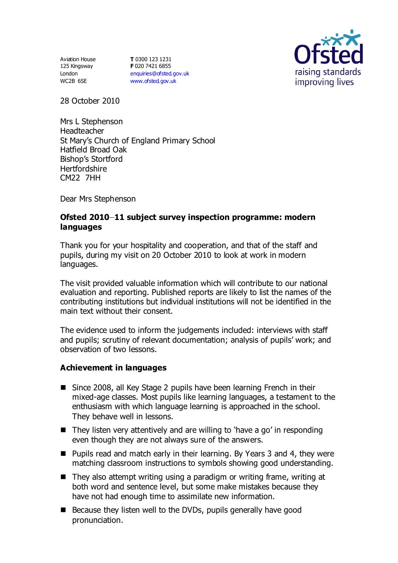Aviation House 125 Kingsway London WC2B 6SE

**T** 0300 123 1231 **F** 020 7421 6855 [enquiries@ofsted.gov.uk](mailto:enquiries@ofsted.gov.uk) [www.ofsted.gov.uk](http://www.ofsted.gov.uk/)



28 October 2010

Mrs L Stephenson Headteacher St Mary's Church of England Primary School Hatfield Broad Oak Bishop's Stortford **Hertfordshire** CM22 7HH

Dear Mrs Stephenson

### **Ofsted 2010 11 subject survey inspection programme: modern languages**

Thank you for your hospitality and cooperation, and that of the staff and pupils, during my visit on 20 October 2010 to look at work in modern languages.

The visit provided valuable information which will contribute to our national evaluation and reporting. Published reports are likely to list the names of the contributing institutions but individual institutions will not be identified in the main text without their consent.

The evidence used to inform the judgements included: interviews with staff and pupils; scrutiny of relevant documentation; analysis of pupils' work; and observation of two lessons.

#### **Achievement in languages**

- Since 2008, all Key Stage 2 pupils have been learning French in their mixed-age classes. Most pupils like learning languages, a testament to the enthusiasm with which language learning is approached in the school. They behave well in lessons.
- $\blacksquare$  They listen very attentively and are willing to 'have a go' in responding even though they are not always sure of the answers.
- Pupils read and match early in their learning. By Years 3 and 4, they were matching classroom instructions to symbols showing good understanding.
- $\blacksquare$  They also attempt writing using a paradigm or writing frame, writing at both word and sentence level, but some make mistakes because they have not had enough time to assimilate new information.
- $\blacksquare$  Because they listen well to the DVDs, pupils generally have good pronunciation.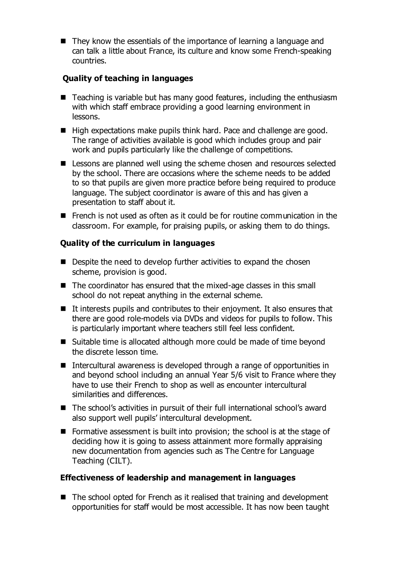■ They know the essentials of the importance of learning a language and can talk a little about France, its culture and know some French-speaking countries.

# **Quality of teaching in languages**

- $\blacksquare$  Teaching is variable but has many good features, including the enthusiasm with which staff embrace providing a good learning environment in lessons.
- $\blacksquare$  High expectations make pupils think hard. Pace and challenge are good. The range of activities available is good which includes group and pair work and pupils particularly like the challenge of competitions.
- Lessons are planned well using the scheme chosen and resources selected by the school. There are occasions where the scheme needs to be added to so that pupils are given more practice before being required to produce language. The subject coordinator is aware of this and has given a presentation to staff about it.
- French is not used as often as it could be for routine communication in the classroom. For example, for praising pupils, or asking them to do things.

## **Quality of the curriculum in languages**

- Despite the need to develop further activities to expand the chosen scheme, provision is good.
- The coordinator has ensured that the mixed-age classes in this small school do not repeat anything in the external scheme.
- $\blacksquare$  It interests pupils and contributes to their enjoyment. It also ensures that there are good role-models via DVDs and videos for pupils to follow. This is particularly important where teachers still feel less confident.
- Suitable time is allocated although more could be made of time beyond the discrete lesson time.
- Intercultural awareness is developed through a range of opportunities in and beyond school including an annual Year 5/6 visit to France where they have to use their French to shop as well as encounter intercultural similarities and differences.
- The school's activities in pursuit of their full international school's award also support well pupils' intercultural development.
- Formative assessment is built into provision; the school is at the stage of deciding how it is going to assess attainment more formally appraising new documentation from agencies such as The Centre for Language Teaching (CILT).

# **Effectiveness of leadership and management in languages**

■ The school opted for French as it realised that training and development opportunities for staff would be most accessible. It has now been taught